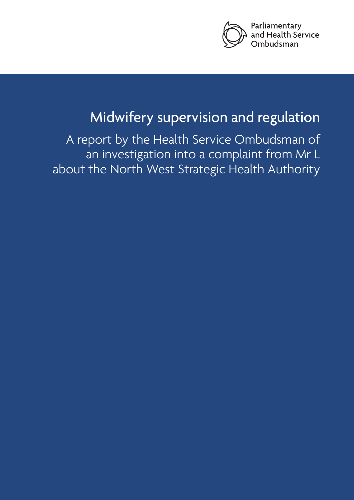

# Midwifery supervision and regulation

A report by the Health Service Ombudsman of an investigation into a complaint from Mr L about the North West Strategic Health Authority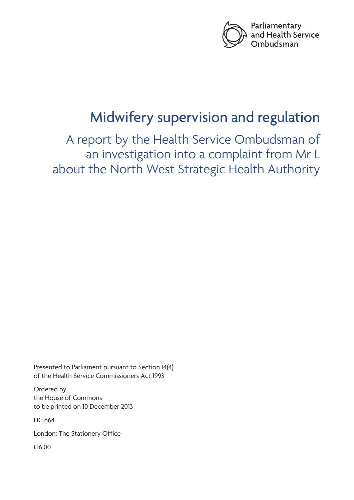

# Midwifery supervision and regulation

A report by the Health Service Ombudsman of an investigation into a complaint from Mr L about the North West Strategic Health Authority

Presented to Parliament pursuant to Section 14(4) of the Health Service Commissioners Act 1993

Ordered by the House of Commons to be printed on 10 December 2013

HC 864

London: The Stationery Office

£16.00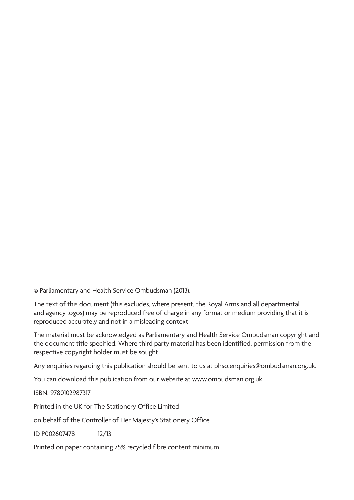© Parliamentary and Health Service Ombudsman (2013).

The text of this document (this excludes, where present, the Royal Arms and all departmental and agency logos) may be reproduced free of charge in any format or medium providing that it is reproduced accurately and not in a misleading context

The material must be acknowledged as Parliamentary and Health Service Ombudsman copyright and the document title specified. Where third party material has been identified, permission from the respective copyright holder must be sought.

Any enquiries regarding this publication should be sent to us at phso.enquiries@ombudsman.org.uk.

You can download this publication from our website at www.ombudsman.org.uk.

ISBN: 9780102987317

Printed in the UK for The Stationery Office Limited

on behalf of the Controller of Her Majesty's Stationery Office

ID P002607478 12/13

Printed on paper containing 75% recycled fibre content minimum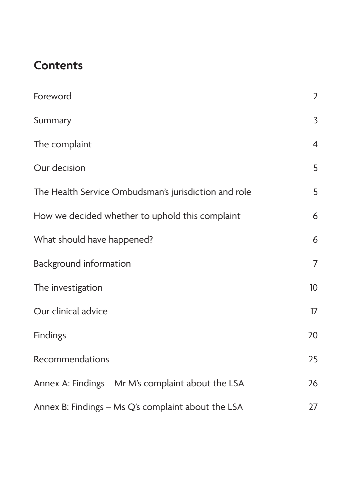# **Contents**

| Foreword                                             | $\overline{2}$  |
|------------------------------------------------------|-----------------|
| Summary                                              | $\mathsf{3}$    |
| The complaint                                        | $\overline{4}$  |
| Our decision                                         | 5               |
| The Health Service Ombudsman's jurisdiction and role | 5               |
| How we decided whether to uphold this complaint      | 6               |
| What should have happened?                           | 6               |
| <b>Background information</b>                        | $\overline{7}$  |
| The investigation                                    | 10 <sup>°</sup> |
| Our clinical advice                                  | 17              |
| <b>Findings</b>                                      | 20              |
| Recommendations                                      | 25              |
| Annex A: Findings – Mr M's complaint about the LSA   | 26              |
| Annex B: Findings – Ms Q's complaint about the LSA   | 27              |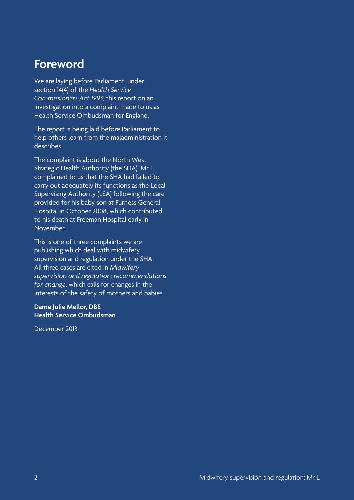## <span id="page-5-0"></span>**Foreword**

We are laying before Parliament, under section 14(4) of the *Health Service Commissioners Act 1993*, this report on an investigation into a complaint made to us as Health Service Ombudsman for England.

The report is being laid before Parliament to help others learn from the maladministration it describes.

The complaint is about the North West Strategic Health Authority (the SHA). Mr L complained to us that the SHA had failed to carry out adequately its functions as the Local Supervising Authority (LSA) following the care provided for his baby son at Furness General Hospital in October 2008, which contributed to his death at Freeman Hospital early in November.

This is one of three complaints we are publishing which deal with midwifery supervision and regulation under the SHA. All three cases are cited in *Midwifery supervision and regulation: recommendations for change*, which calls for changes in the interests of the safety of mothers and babies.

#### **Dame Julie Mellor, DBE Health Service Ombudsman**

December 2013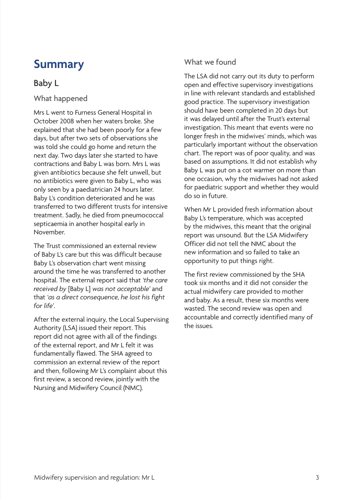## <span id="page-6-0"></span>**Summary**

### Baby L

What happened

Mrs L went to Furness General Hospital in October 2008 when her waters broke. She explained that she had been poorly for a few days, but after two sets of observations she was told she could go home and return the next day. Two days later she started to have contractions and Baby L was born. Mrs L was given antibiotics because she felt unwell, but no antibiotics were given to Baby L, who was only seen by a paediatrician 24 hours later. Baby L's condition deteriorated and he was transferred to two different trusts for intensive treatment. Sadly, he died from pneumococcal septicaemia in another hospital early in November.

The Trust commissioned an external review of Baby L's care but this was difficult because Baby L's observation chart went missing around the time he was transferred to another hospital. The external report said that *'the care received by* [Baby L] *was not acceptable'* and that *'as a direct consequence, he lost his fight for life*'.

After the external inquiry, the Local Supervising Authority (LSA) issued their report. This report did not agree with all of the findings of the external report, and Mr L felt it was fundamentally flawed. The SHA agreed to commission an external review of the report and then, following Mr L's complaint about this first review, a second review, jointly with the Nursing and Midwifery Council (NMC).

#### What we found

The LSA did not carry out its duty to perform open and effective supervisory investigations in line with relevant standards and established good practice. The supervisory investigation should have been completed in 20 days but it was delayed until after the Trust's external investigation. This meant that events were no longer fresh in the midwives' minds, which was particularly important without the observation chart. The report was of poor quality, and was based on assumptions. It did not establish why Baby L was put on a cot warmer on more than one occasion, why the midwives had not asked for paediatric support and whether they would do so in future.

When Mr L provided fresh information about Baby L's temperature, which was accepted by the midwives, this meant that the original report was unsound. But the LSA Midwifery Officer did not tell the NMC about the new information and so failed to take an opportunity to put things right.

The first review commissioned by the SHA took six months and it did not consider the actual midwifery care provided to mother and baby. As a result, these six months were wasted. The second review was open and accountable and correctly identified many of the issues.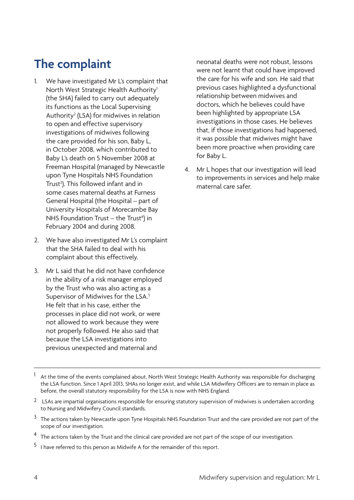# <span id="page-7-0"></span>**The complaint**

- 1. We have investigated Mr L's complaint that North West Strategic Health Authority<sup>1</sup> (the SHA) failed to carry out adequately its functions as the Local Supervising Authority<sup>2</sup> (LSA) for midwives in relation to open and effective supervisory investigations of midwives following the care provided for his son, Baby L, in October 2008, which contributed to Baby L's death on 5 November 2008 at Freeman Hospital (managed by Newcastle upon Tyne Hospitals NHS Foundation Trust<sup>3</sup>). This followed infant and in some cases maternal deaths at Furness General Hospital (the Hospital – part of University Hospitals of Morecambe Bay NHS Foundation Trust  $-$  the Trust<sup>4</sup>) in February 2004 and during 2008.
- 2. We have also investigated Mr L's complaint that the SHA failed to deal with his complaint about this effectively.
- 3. Mr L said that he did not have confidence in the ability of a risk manager employed by the Trust who was also acting as a Supervisor of Midwives for the LSA.5 He felt that in his case, either the processes in place did not work, or were not allowed to work because they were not properly followed. He also said that because the LSA investigations into previous unexpected and maternal and

neonatal deaths were not robust, lessons were not learnt that could have improved the care for his wife and son. He said that previous cases highlighted a dysfunctional relationship between midwives and doctors, which he believes could have been highlighted by appropriate LSA investigations in those cases. He believes that, if those investigations had happened, it was possible that midwives might have been more proactive when providing care for Baby L.

4. Mr L hopes that our investigation will lead to improvements in services and help make maternal care safer.

- At the time of the events complained about, North West Strategic Health Authority was responsible for discharging the LSA function. Since 1 April 2013, SHAs no longer exist, and while LSA Midwifery Officers are to remain in place as before, the overall statutory responsibility for the LSA is now with NHS England.
- 2 LSAs are impartial organisations responsible for ensuring statutory supervision of midwives is undertaken according to Nursing and Midwifery Council standards.
- <sup>3</sup> The actions taken by Newcastle upon Tyne Hospitals NHS Foundation Trust and the care provided are not part of the scope of our investigation.
- <sup>4</sup> The actions taken by the Trust and the clinical care provided are not part of the scope of our investigation.
- 5 I have referred to this person as Midwife A for the remainder of this report.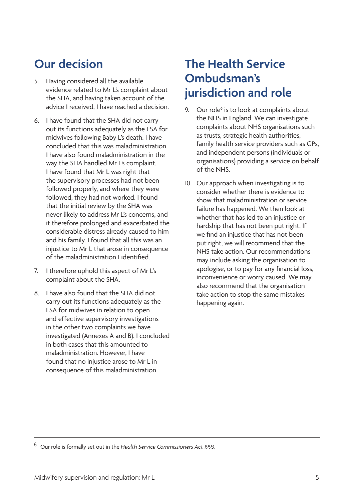# <span id="page-8-0"></span>**Our decision**

- 5. Having considered all the available evidence related to Mr L's complaint about the SHA, and having taken account of the advice I received, I have reached a decision.
- 6. I have found that the SHA did not carry out its functions adequately as the LSA for midwives following Baby L's death. I have concluded that this was maladministration. I have also found maladministration in the way the SHA handled Mr L's complaint. I have found that Mr L was right that the supervisory processes had not been followed properly, and where they were followed, they had not worked. I found that the initial review by the SHA was never likely to address Mr L's concerns, and it therefore prolonged and exacerbated the considerable distress already caused to him and his family. I found that all this was an injustice to Mr L that arose in consequence of the maladministration I identified.
- 7. I therefore uphold this aspect of Mr L's complaint about the SHA.
- 8. I have also found that the SHA did not carry out its functions adequately as the LSA for midwives in relation to open and effective supervisory investigations in the other two complaints we have investigated (Annexes A and B). I concluded in both cases that this amounted to maladministration. However, I have found that no injustice arose to Mr L in consequence of this maladministration.

# **The Health Service Ombudsman's jurisdiction and role**

- 9. Our role<sup>6</sup> is to look at complaints about the NHS in England. We can investigate complaints about NHS organisations such as trusts, strategic health authorities, family health service providers such as GPs, and independent persons (individuals or organisations) providing a service on behalf of the NHS.
- 10. Our approach when investigating is to consider whether there is evidence to show that maladministration or service failure has happened. We then look at whether that has led to an injustice or hardship that has not been put right. If we find an injustice that has not been put right, we will recommend that the NHS take action. Our recommendations may include asking the organisation to apologise, or to pay for any financial loss, inconvenience or worry caused. We may also recommend that the organisation take action to stop the same mistakes happening again.

6 Our role is formally set out in the *Health Service Commissioners Act 1993*.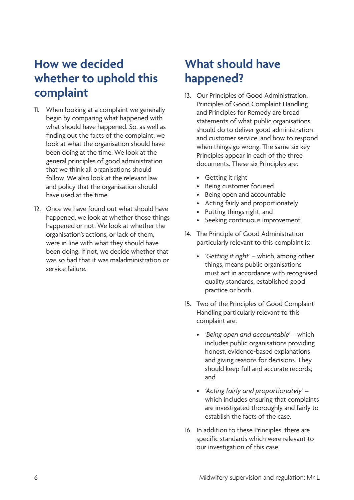## <span id="page-9-0"></span>**How we decided whether to uphold this complaint**

- 11. When looking at a complaint we generally begin by comparing what happened with what should have happened. So, as well as finding out the facts of the complaint, we look at what the organisation should have been doing at the time. We look at the general principles of good administration that we think all organisations should follow. We also look at the relevant law and policy that the organisation should have used at the time.
- 12. Once we have found out what should have happened, we look at whether those things happened or not. We look at whether the organisation's actions, or lack of them, were in line with what they should have been doing. If not, we decide whether that was so bad that it was maladministration or service failure.

# **What should have happened?**

- 13. Our Principles of Good Administration, Principles of Good Complaint Handling and Principles for Remedy are broad statements of what public organisations should do to deliver good administration and customer service, and how to respond when things go wrong. The same six key Principles appear in each of the three documents. These six Principles are:
	- • Getting it right
	- • Being customer focused
	- • Being open and accountable
	- • Acting fairly and proportionately
	- • Putting things right, and
	- • Seeking continuous improvement.
- 14. The Principle of Good Administration particularly relevant to this complaint is:
	- *• 'Getting it right'* which, among other things, means public organisations must act in accordance with recognised quality standards, established good practice or both.
- 15. Two of the Principles of Good Complaint Handling particularly relevant to this complaint are:
	- *• 'Being open and accountable'*  which includes public organisations providing honest, evidence-based explanations and giving reasons for decisions. They should keep full and accurate records; and
	- *• 'Acting fairly and proportionately'*  which includes ensuring that complaints are investigated thoroughly and fairly to establish the facts of the case.
- 16. In addition to these Principles, there are specific standards which were relevant to our investigation of this case.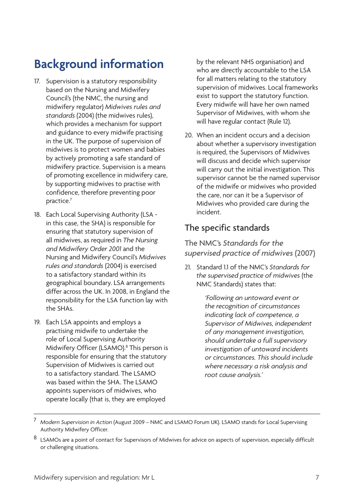# <span id="page-10-0"></span>**Background information**

- 17. Supervision is a statutory responsibility based on the Nursing and Midwifery Council's (the NMC, the nursing and midwifery regulator) *Midwives rules and standards* (2004) (the midwives rules), which provides a mechanism for support and guidance to every midwife practising in the UK. The purpose of supervision of midwives is to protect women and babies by actively promoting a safe standard of midwifery practice. Supervision is a means of promoting excellence in midwifery care, by supporting midwives to practise with confidence, therefore preventing poor practice.7
- 18. Each Local Supervising Authority (LSA in this case, the SHA) is responsible for ensuring that statutory supervision of all midwives, as required in *The Nursing and Midwifery Order 2001* and the Nursing and Midwifery Council's *Midwives rules and standards* (2004) is exercised to a satisfactory standard within its geographical boundary. LSA arrangements differ across the UK. In 2008, in England the responsibility for the LSA function lay with the SHAs.
- 19. Each LSA appoints and employs a practising midwife to undertake the role of Local Supervising Authority Midwifery Officer (LSAMO).<sup>8</sup> This person is responsible for ensuring that the statutory Supervision of Midwives is carried out to a satisfactory standard. The LSAMO was based within the SHA. The LSAMO appoints supervisors of midwives, who operate locally (that is, they are employed

by the relevant NHS organisation) and who are directly accountable to the LSA for all matters relating to the statutory supervision of midwives. Local frameworks exist to support the statutory function. Every midwife will have her own named Supervisor of Midwives, with whom she will have regular contact (Rule 12).

20. When an incident occurs and a decision about whether a supervisory investigation is required, the Supervisors of Midwives will discuss and decide which supervisor will carry out the initial investigation. This supervisor cannot be the named supervisor of the midwife or midwives who provided the care, nor can it be a Supervisor of Midwives who provided care during the incident.

## The specific standards

The NMC's *Standards for the supervised practice of midwives* (2007)

21. Standard 1.1 of the NMC's *Standards for the supervised practice of midwives* (the NMC Standards) states that:

> *'Following an untoward event or the recognition of circumstances indicating lack of competence, a Supervisor of Midwives, independent of any management investigation, should undertake a full supervisory investigation of untoward incidents or circumstances. This should include where necessary a risk analysis and root cause analysis.'*

<sup>7</sup> *Modern Supervision in Action* (August 2009 – NMC and LSAMO Forum UK). LSAMO stands for Local Supervising Authority Midwifery Officer.

<sup>8</sup> LSAMOs are a point of contact for Supervisors of Midwives for advice on aspects of supervision, especially difficult or challenging situations.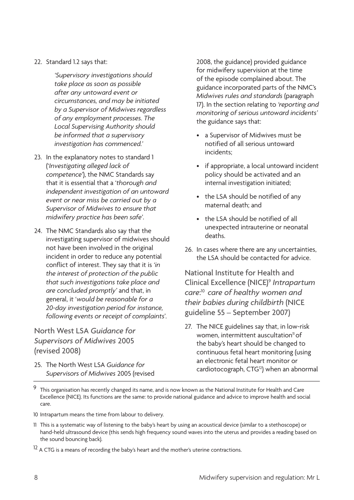#### 22. Standard 1.2 says that:

*'Supervisory investigations should take place as soon as possible after any untoward event or circumstances, and may be initiated by a Supervisor of Midwives regardless of any employment processes. The Local Supervising Authority should be informed that a supervisory investigation has commenced.'*

- 23. In the explanatory notes to standard 1 ('*Investigating alleged lack of competence'*), the NMC Standards say that it is essential that a '*thorough and independent investigation of an untoward event or near miss be carried out by a Supervisor of Midwives to ensure that midwifery practice has been safe'*.
- 24. The NMC Standards also say that the investigating supervisor of midwives should not have been involved in the original incident in order to reduce any potential conflict of interest. They say that it is *'in the interest of protection of the public that such investigations take place and are concluded promptly'* and that, in general, it '*would be reasonable for a 20-day investigation period for instance, following events or receipt of complaints*'.

#### North West LSA *Guidance for Supervisors of Midwives* 2005 (revised 2008)

25. The North West LSA *Guidance for Supervisors of Midwives* 2005 (revised

2008, the guidance) provided guidance for midwifery supervision at the time of the episode complained about. The guidance incorporated parts of the NMC's *Midwives rules and standards* (paragraph 17). In the section relating to *'reporting and monitoring of serious untoward incidents'*  the guidance says that:

- • a Supervisor of Midwives must be notified of all serious untoward incidents;
- if appropriate, a local untoward incident policy should be activated and an internal investigation initiated;
- the LSA should be notified of any maternal death; and
- the LSA should be notified of all unexpected intrauterine or neonatal deaths.
- 26. In cases where there are any uncertainties, the LSA should be contacted for advice.

National Institute for Health and Clinical Excellence (NICE)9 *Intrapartum care*: <sup>10</sup>*care of healthy women and their babies during childbirth* (NICE guideline 55 – September 2007)

27. The NICE guidelines say that, in low-risk women, intermittent auscultation<sup>11</sup> of the baby's heart should be changed to continuous fetal heart monitoring (using an electronic fetal heart monitor or cardiotocograph, CTG<sup>12</sup>) when an abnormal

- 10 Intrapartum means the time from labour to delivery.
- 11 This is a systematic way of listening to the baby's heart by using an acoustical device (similar to a stethoscope) or hand-held ultrasound device (this sends high frequency sound waves into the uterus and provides a reading based on the sound bouncing back).
- $12$  A CTG is a means of recording the baby's heart and the mother's uterine contractions.

<sup>9</sup> This organisation has recently changed its name, and is now known as the National Institute for Health and Care Excellence (NICE). Its functions are the same: to provide national guidance and advice to improve health and social care.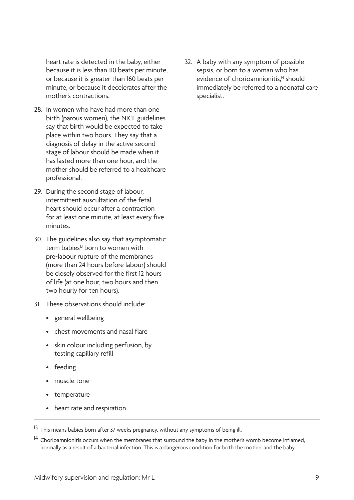heart rate is detected in the baby, either because it is less than 110 beats per minute, or because it is greater than 160 beats per minute, or because it decelerates after the mother's contractions.

- 28. In women who have had more than one birth (parous women), the NICE guidelines say that birth would be expected to take place within two hours. They say that a diagnosis of delay in the active second stage of labour should be made when it has lasted more than one hour, and the mother should be referred to a healthcare professional.
- 29. During the second stage of labour, intermittent auscultation of the fetal heart should occur after a contraction for at least one minute, at least every five minutes.
- 30. The guidelines also say that asymptomatic term babies<sup>13</sup> born to women with pre-labour rupture of the membranes (more than 24 hours before labour) should be closely observed for the first 12 hours of life (at one hour, two hours and then two hourly for ten hours).
- 31. These observations should include:
	- • general wellbeing
	- • chest movements and nasal flare
	- skin colour including perfusion, by testing capillary refill
	- feeding
	- muscle tone
	- temperature
	- heart rate and respiration.

32. A baby with any symptom of possible sepsis, or born to a woman who has evidence of chorioamnionitis.<sup>14</sup> should immediately be referred to a neonatal care specialist.

 $13$  This means babies born after 37 weeks pregnancy, without any symptoms of being ill.

<sup>&</sup>lt;sup>14</sup> Chorioamnionitis occurs when the membranes that surround the baby in the mother's womb become inflamed, normally as a result of a bacterial infection. This is a dangerous condition for both the mother and the baby.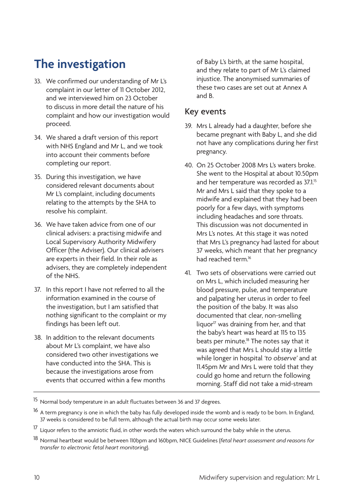# <span id="page-13-0"></span>**The investigation**

- 33. We confirmed our understanding of Mr L's complaint in our letter of 11 October 2012, and we interviewed him on 23 October to discuss in more detail the nature of his complaint and how our investigation would proceed.
- 34. We shared a draft version of this report with NHS England and Mr L, and we took into account their comments before completing our report.
- 35. During this investigation, we have considered relevant documents about Mr L's complaint, including documents relating to the attempts by the SHA to resolve his complaint.
- 36. We have taken advice from one of our clinical advisers: a practising midwife and Local Supervisory Authority Midwifery Officer (the Adviser). Our clinical advisers are experts in their field. In their role as advisers, they are completely independent of the NHS.
- 37. In this report I have not referred to all the information examined in the course of the investigation, but I am satisfied that nothing significant to the complaint or my findings has been left out.
- 38. In addition to the relevant documents about Mr L's complaint, we have also considered two other investigations we have conducted into the SHA. This is because the investigations arose from events that occurred within a few months

of Baby L's birth, at the same hospital, and they relate to part of Mr L's claimed injustice. The anonymised summaries of these two cases are set out at Annex A and B.

#### Key events

- 39. Mrs L already had a daughter, before she became pregnant with Baby L, and she did not have any complications during her first pregnancy.
- 40. On 25 October 2008 Mrs L's waters broke. She went to the Hospital at about 10.50pm and her temperature was recorded as 37.1.<sup>15</sup> Mr and Mrs L said that they spoke to a midwife and explained that they had been poorly for a few days, with symptoms including headaches and sore throats. This discussion was not documented in Mrs L's notes. At this stage it was noted that Mrs L's pregnancy had lasted for about 37 weeks, which meant that her pregnancy had reached term<sup>16</sup>
- 41. Two sets of observations were carried out on Mrs L, which included measuring her blood pressure, pulse, and temperature and palpating her uterus in order to feel the position of the baby. It was also documented that clear, non-smelling liquor<sup>17</sup> was draining from her, and that the baby's heart was heard at 115 to 135 beats per minute.<sup>18</sup> The notes say that it was agreed that Mrs L should stay a little while longer in hospital *'to observe'* and at 11.45pm Mr and Mrs L were told that they could go home and return the following morning. Staff did not take a mid-stream

<sup>15</sup> Normal body temperature in an adult fluctuates between 36 and 37 degrees.

<sup>&</sup>lt;sup>16</sup> A term pregnancy is one in which the baby has fully developed inside the womb and is ready to be born. In England, 37 weeks is considered to be full term, although the actual birth may occur some weeks later.

<sup>&</sup>lt;sup>17</sup> Liquor refers to the amniotic fluid, in other words the waters which surround the baby while in the uterus.

<sup>18</sup> Normal heartbeat would be between 110bpm and 160bpm, NICE Guidelines (*fetal heart assessment and reasons for transfer to electronic fetal heart monitoring*).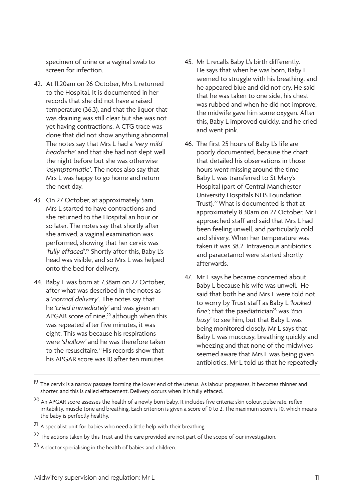specimen of urine or a vaginal swab to screen for infection.

- 42. At 11.20am on 26 October, Mrs L returned to the Hospital. It is documented in her records that she did not have a raised temperature (36.3), and that the liquor that was draining was still clear but she was not yet having contractions. A CTG trace was done that did not show anything abnormal. The notes say that Mrs L had a *'very mild headache'* and that she had not slept well the night before but she was otherwise *'asymptomatic'*. The notes also say that Mrs L was happy to go home and return the next day.
- 43. On 27 October, at approximately 5am, Mrs L started to have contractions and she returned to the Hospital an hour or so later. The notes say that shortly after she arrived, a vaginal examination was performed, showing that her cervix was 'fully effaced'.<sup>19</sup> Shortly after this, Baby L's head was visible, and so Mrs L was helped onto the bed for delivery.
- 44. Baby L was born at 7.38am on 27 October, after what was described in the notes as a *'normal delivery'*. The notes say that he *'cried immediately'* and was given an APGAR score of nine,<sup>20</sup> although when this was repeated after five minutes, it was eight. This was because his respirations were *'shallow'* and he was therefore taken to the resuscitaire.<sup>21</sup> His records show that his APGAR score was 10 after ten minutes.
- 45. Mr L recalls Baby L's birth differently. He says that when he was born, Baby L seemed to struggle with his breathing, and he appeared blue and did not cry. He said that he was taken to one side, his chest was rubbed and when he did not improve, the midwife gave him some oxygen. After this, Baby L improved quickly, and he cried and went pink.
- 46. The first 25 hours of Baby L's life are poorly documented, because the chart that detailed his observations in those hours went missing around the time Baby L was transferred to St Mary's Hospital (part of Central Manchester University Hospitals NHS Foundation Trust).22 What is documented is that at approximately 8.30am on 27 October, Mr L approached staff and said that Mrs L had been feeling unwell, and particularly cold and shivery. When her temperature was taken it was 38.2. Intravenous antibiotics and paracetamol were started shortly afterwards.
- 47. Mr L says he became concerned about Baby L because his wife was unwell. He said that both he and Mrs L were told not to worry by Trust staff as Baby L *'looked fine*'; that the paediatrician<sup>23</sup> was '*too busy'* to see him, but that Baby L was being monitored closely. Mr L says that Baby L was mucousy, breathing quickly and wheezing and that none of the midwives seemed aware that Mrs L was being given antibiotics. Mr L told us that he repeatedly

<sup>&</sup>lt;sup>19</sup> The cervix is a narrow passage forming the lower end of the uterus. As labour progresses, it becomes thinner and shorter, and this is called effacement. Delivery occurs when it is fully effaced.

<sup>&</sup>lt;sup>20</sup> An APGAR score assesses the health of a newly born baby. It includes five criteria; skin colour, pulse rate, reflex irritability, muscle tone and breathing. Each criterion is given a score of 0 to 2. The maximum score is 10, which means the baby is perfectly healthy.

 $21$  A specialist unit for babies who need a little help with their breathing.

<sup>&</sup>lt;sup>22</sup> The actions taken by this Trust and the care provided are not part of the scope of our investigation.

<sup>&</sup>lt;sup>23</sup> A doctor specialising in the health of babies and children.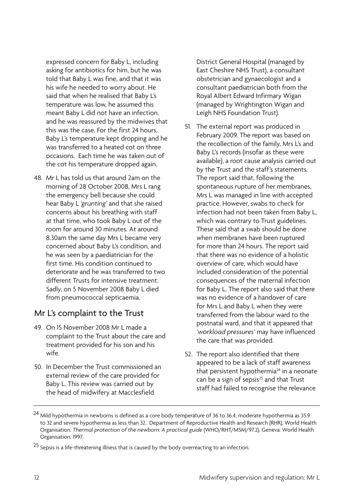expressed concern for Baby L, including asking for antibiotics for him, but he was told that Baby L was fine, and that it was his wife he needed to worry about. He said that when he realised that Baby L's temperature was low, he assumed this meant Baby L did not have an infection, and he was reassured by the midwives that this was the case. For the first 24 hours, Baby L's temperature kept dropping and he was transferred to a heated cot on three occasions. Each time he was taken out of the cot his temperature dropped again.

48. Mr L has told us that around 2am on the morning of 28 October 2008, Mrs L rang the emergency bell because she could hear Baby L *'grunting'* and that she raised concerns about his breathing with staff at that time, who took Baby L out of the room for around 30 minutes. At around 8.30am the same day Mrs L became very concerned about Baby L's condition, and he was seen by a paediatrician for the first time. His condition continued to deteriorate and he was transferred to two different Trusts for intensive treatment. Sadly, on 5 November 2008 Baby L died from pneumococcal septicaemia.

## Mr L's complaint to the Trust

- 49. On 15 November 2008 Mr L made a complaint to the Trust about the care and treatment provided for his son and his wife.
- 50. In December the Trust commissioned an external review of the care provided for Baby L. This review was carried out by the head of midwifery at Macclesfield

District General Hospital (managed by East Cheshire NHS Trust), a consultant obstetrician and gynaecologist and a consultant paediatrician both from the Royal Albert Edward Infirmary Wigan (managed by Wrightington Wigan and Leigh NHS Foundation Trust).

- 51. The external report was produced in February 2009. The report was based on the recollection of the family, Mrs L's and Baby L's records (insofar as these were available), a root cause analysis carried out by the Trust and the staff's statements. The report said that, following the spontaneous rupture of her membranes, Mrs L was managed in line with accepted practice. However, swabs to check for infection had not been taken from Baby L, which was contrary to Trust guidelines. These said that a swab should be done when membranes have been ruptured for more than 24 hours. The report said that there was no evidence of a holistic overview of care, which would have included consideration of the potential consequences of the maternal infection for Baby L. The report also said that there was no evidence of a handover of care for Mrs L and Baby L when they were transferred from the labour ward to the postnatal ward, and that it appeared that *'workload pressures*' may have influenced the care that was provided.
- 52. The report also identified that there appeared to be a lack of staff awareness that persistent hypothermia $24$  in a neonate can be a sign of sepsis<sup>25</sup> and that Trust staff had failed to recognise the relevance

<sup>&</sup>lt;sup>24</sup> Mild hypothermia in newborns is defined as a core body temperature of 36 to 36.4, moderate hypothermia as 35.9 to 32 and severe hypothermia as less than 32. Department of Reproductive Health and Research (RHR), World Health Organisation. *Thermal protection of the newborn: A practical guide* (WHO/RHT/MSM/97.2). Geneva: World Health Organisation. 1997.

<sup>&</sup>lt;sup>25</sup> Sepsis is a life-threatening illness that is caused by the body overreacting to an infection.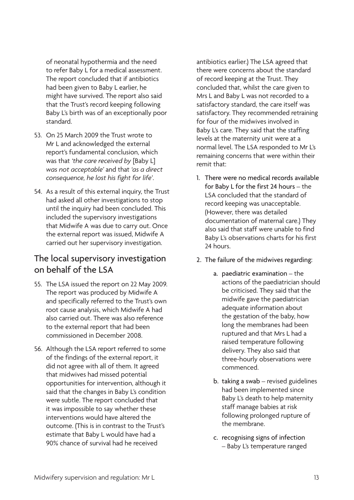of neonatal hypothermia and the need to refer Baby L for a medical assessment. The report concluded that if antibiotics had been given to Baby L earlier, he might have survived. The report also said that the Trust's record keeping following Baby L's birth was of an exceptionally poor standard.

- 53. On 25 March 2009 the Trust wrote to Mr L and acknowledged the external report's fundamental conclusion, which was that *'the care received by* [Baby L] *was not acceptable'* and that *'as a direct consequence, he lost his fight for life'*.
- 54. As a result of this external inquiry, the Trust had asked all other investigations to stop until the inquiry had been concluded. This included the supervisory investigations that Midwife A was due to carry out. Once the external report was issued, Midwife A carried out her supervisory investigation.

## The local supervisory investigation on behalf of the LSA

- 55. The LSA issued the report on 22 May 2009. The report was produced by Midwife A and specifically referred to the Trust's own root cause analysis, which Midwife A had also carried out. There was also reference to the external report that had been commissioned in December 2008.
- 56. Although the LSA report referred to some of the findings of the external report, it did not agree with all of them. It agreed that midwives had missed potential opportunities for intervention, although it said that the changes in Baby L's condition were subtle. The report concluded that it was impossible to say whether these interventions would have altered the outcome. (This is in contrast to the Trust's estimate that Baby L would have had a 90% chance of survival had he received

antibiotics earlier.) The LSA agreed that there were concerns about the standard of record keeping at the Trust. They concluded that, whilst the care given to Mrs L and Baby L was not recorded to a satisfactory standard, the care itself was satisfactory. They recommended retraining for four of the midwives involved in Baby L's care. They said that the staffing levels at the maternity unit were at a normal level. The LSA responded to Mr L's remaining concerns that were within their remit that:

- 1. There were no medical records available for Baby L for the first 24 hours – the LSA concluded that the standard of record keeping was unacceptable. (However, there was detailed documentation of maternal care.) They also said that staff were unable to find Baby L's observations charts for his first 24 hours.
- 2. The failure of the midwives regarding:
	- a. paediatric examination the actions of the paediatrician should be criticised. They said that the midwife gave the paediatrician adequate information about the gestation of the baby, how long the membranes had been ruptured and that Mrs L had a raised temperature following delivery. They also said that three-hourly observations were commenced.
	- b. taking a swab revised guidelines had been implemented since Baby L's death to help maternity staff manage babies at risk following prolonged rupture of the membrane.
	- c. recognising signs of infection – Baby L's temperature ranged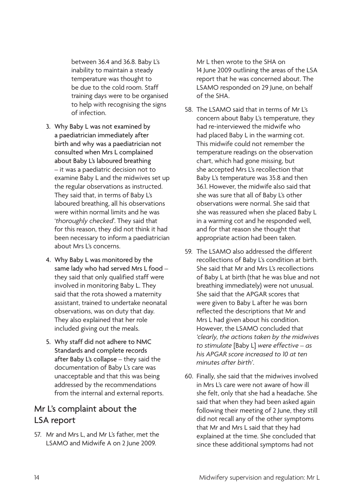between 36.4 and 36.8. Baby L's inability to maintain a steady temperature was thought to be due to the cold room. Staff training days were to be organised to help with recognising the signs of infection.

- 3. Why Baby L was not examined by a paediatrician immediately after birth and why was a paediatrician not consulted when Mrs L complained about Baby L's laboured breathing – it was a paediatric decision not to examine Baby L and the midwives set up the regular observations as instructed. They said that, in terms of Baby L's laboured breathing, all his observations were within normal limits and he was '*thoroughly checked*'. They said that for this reason, they did not think it had been necessary to inform a paediatrician about Mrs L's concerns.
- 4. Why Baby L was monitored by the same lady who had served Mrs L food they said that only qualified staff were involved in monitoring Baby L. They said that the rota showed a maternity assistant, trained to undertake neonatal observations, was on duty that day. They also explained that her role included giving out the meals.
- 5. Why staff did not adhere to NMC Standards and complete records after Baby L's collapse – they said the documentation of Baby L's care was unacceptable and that this was being addressed by the recommendations from the internal and external reports.

## Mr L's complaint about the LSA report

57. Mr and Mrs L, and Mr L's father, met the LSAMO and Midwife A on 2 June 2009.

Mr L then wrote to the SHA on 14 June 2009 outlining the areas of the LSA report that he was concerned about. The LSAMO responded on 29 June, on behalf of the SHA.

- 58. The LSAMO said that in terms of Mr L's concern about Baby L's temperature, they had re-interviewed the midwife who had placed Baby L in the warming cot. This midwife could not remember the temperature readings on the observation chart, which had gone missing, but she accepted Mrs L's recollection that Baby L's temperature was 35.8 and then 36.1. However, the midwife also said that she was sure that all of Baby L's other observations were normal. She said that she was reassured when she placed Baby L in a warming cot and he responded well, and for that reason she thought that appropriate action had been taken.
- 59. The LSAMO also addressed the different recollections of Baby L's condition at birth. She said that Mr and Mrs L's recollections of Baby L at birth (that he was blue and not breathing immediately) were not unusual. She said that the APGAR scores that were given to Baby L after he was born reflected the descriptions that Mr and Mrs L had given about his condition. However, the LSAMO concluded that *'clearly, the actions taken by the midwives to stimulate* [Baby L] *were effective – as his APGAR score increased to 10 at ten minutes after birth'*.
- 60. Finally, she said that the midwives involved in Mrs L's care were not aware of how ill she felt, only that she had a headache. She said that when they had been asked again following their meeting of 2 June, they still did not recall any of the other symptoms that Mr and Mrs L said that they had explained at the time. She concluded that since these additional symptoms had not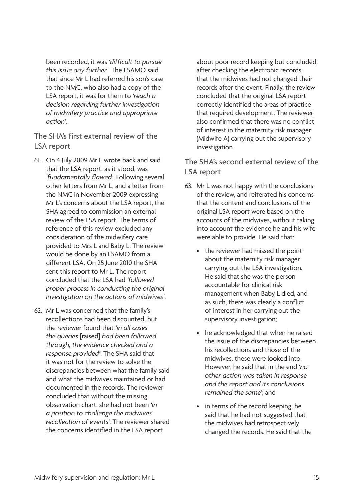been recorded, it was *'difficult to pursue this issue any further'*. The LSAMO said that since Mr L had referred his son's case to the NMC, who also had a copy of the LSA report, it was for them to *'reach a decision regarding further investigation of midwifery practice and appropriate action'*.

The SHA's first external review of the LSA report

- 61. On 4 July 2009 Mr L wrote back and said that the LSA report, as it stood, was *'fundamentally flawed'*. Following several other letters from Mr L, and a letter from the NMC in November 2009 expressing Mr L's concerns about the LSA report, the SHA agreed to commission an external review of the LSA report. The terms of reference of this review excluded any consideration of the midwifery care provided to Mrs L and Baby L. The review would be done by an LSAMO from a different LSA. On 25 June 2010 the SHA sent this report to Mr L. The report concluded that the LSA had *'followed proper process in conducting the original investigation on the actions of midwives'*.
- 62. Mr L was concerned that the family's recollections had been discounted, but the reviewer found that *'in all cases the queries* [raised] *had been followed through, the evidence checked and a response provided'*. The SHA said that it was not for the review to solve the discrepancies between what the family said and what the midwives maintained or had documented in the records. The reviewer concluded that without the missing observation chart, she had not been *'in a position to challenge the midwives' recollection of events*'. The reviewer shared the concerns identified in the LSA report

about poor record keeping but concluded, after checking the electronic records, that the midwives had not changed their records after the event. Finally, the review concluded that the original LSA report correctly identified the areas of practice that required development. The reviewer also confirmed that there was no conflict of interest in the maternity risk manager (Midwife A) carrying out the supervisory investigation.

The SHA's second external review of the LSA report

- 63. Mr L was not happy with the conclusions of the review, and reiterated his concerns that the content and conclusions of the original LSA report were based on the accounts of the midwives, without taking into account the evidence he and his wife were able to provide. He said that:
	- the reviewer had missed the point about the maternity risk manager carrying out the LSA investigation. He said that she was the person accountable for clinical risk management when Baby L died, and as such, there was clearly a conflict of interest in her carrying out the supervisory investigation;
	- he acknowledged that when he raised the issue of the discrepancies between his recollections and those of the midwives, these were looked into. However, he said that in the end *'no other action was taken in response and the report and its conclusions remained the same'*; and
	- in terms of the record keeping, he said that he had not suggested that the midwives had retrospectively changed the records. He said that the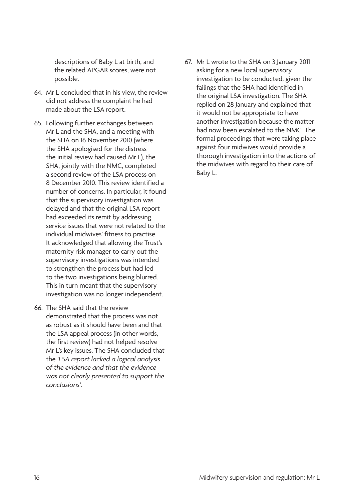descriptions of Baby L at birth, and the related APGAR scores, were not possible.

- 64. Mr L concluded that in his view, the review did not address the complaint he had made about the LSA report.
- 65. Following further exchanges between Mr L and the SHA, and a meeting with the SHA on 16 November 2010 (where the SHA apologised for the distress the initial review had caused Mr L), the SHA, jointly with the NMC, completed a second review of the LSA process on 8 December 2010. This review identified a number of concerns. In particular, it found that the supervisory investigation was delayed and that the original LSA report had exceeded its remit by addressing service issues that were not related to the individual midwives' fitness to practise. It acknowledged that allowing the Trust's maternity risk manager to carry out the supervisory investigations was intended to strengthen the process but had led to the two investigations being blurred. This in turn meant that the supervisory investigation was no longer independent.
- 66. The SHA said that the review demonstrated that the process was not as robust as it should have been and that the LSA appeal process (in other words, the first review) had not helped resolve Mr L's key issues. The SHA concluded that the *'LSA report lacked a logical analysis of the evidence and that the evidence was not clearly presented to support the conclusions'*.

67. Mr L wrote to the SHA on 3 January 2011 asking for a new local supervisory investigation to be conducted, given the failings that the SHA had identified in the original LSA investigation. The SHA replied on 28 January and explained that it would not be appropriate to have another investigation because the matter had now been escalated to the NMC. The formal proceedings that were taking place against four midwives would provide a thorough investigation into the actions of the midwives with regard to their care of Baby L.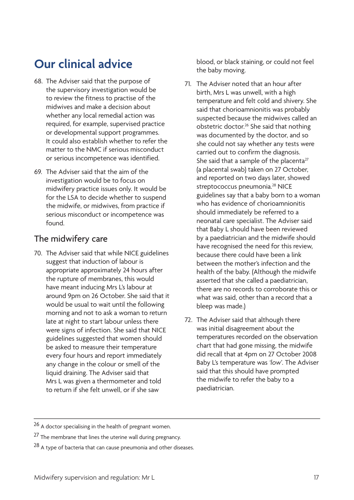# <span id="page-20-0"></span>**Our clinical advice**

- 68. The Adviser said that the purpose of the supervisory investigation would be to review the fitness to practise of the midwives and make a decision about whether any local remedial action was required, for example, supervised practice or developmental support programmes. It could also establish whether to refer the matter to the NMC if serious misconduct or serious incompetence was identified.
- 69. The Adviser said that the aim of the investigation would be to focus on midwifery practice issues only. It would be for the LSA to decide whether to suspend the midwife, or midwives, from practice if serious misconduct or incompetence was found.

### The midwifery care

70. The Adviser said that while NICE guidelines suggest that induction of labour is appropriate approximately 24 hours after the rupture of membranes, this would have meant inducing Mrs L's labour at around 9pm on 26 October. She said that it would be usual to wait until the following morning and not to ask a woman to return late at night to start labour unless there were signs of infection. She said that NICE guidelines suggested that women should be asked to measure their temperature every four hours and report immediately any change in the colour or smell of the liquid draining. The Adviser said that Mrs L was given a thermometer and told to return if she felt unwell, or if she saw

blood, or black staining, or could not feel the baby moving.

- 71. The Adviser noted that an hour after birth, Mrs L was unwell, with a high temperature and felt cold and shivery. She said that chorioamnionitis was probably suspected because the midwives called an obstetric doctor.26 She said that nothing was documented by the doctor, and so she could not say whether any tests were carried out to confirm the diagnosis. She said that a sample of the placenta $27$ (a placental swab) taken on 27 October, and reported on two days later, showed streptococcus pneumonia.<sup>28</sup> NICE guidelines say that a baby born to a woman who has evidence of chorioamnionitis should immediately be referred to a neonatal care specialist. The Adviser said that Baby L should have been reviewed by a paediatrician and the midwife should have recognised the need for this review, because there could have been a link between the mother's infection and the health of the baby. (Although the midwife asserted that she called a paediatrician, there are no records to corroborate this or what was said, other than a record that a bleep was made.)
- 72. The Adviser said that although there was initial disagreement about the temperatures recorded on the observation chart that had gone missing, the midwife did recall that at 4pm on 27 October 2008 Baby L's temperature was *'low*'. The Adviser said that this should have prompted the midwife to refer the baby to a paediatrician.

<sup>26</sup> A doctor specialising in the health of pregnant women.

<sup>&</sup>lt;sup>27</sup> The membrane that lines the uterine wall during pregnancy.

<sup>28</sup> A type of bacteria that can cause pneumonia and other diseases.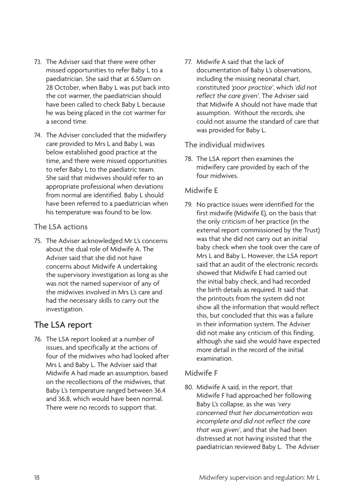- 73. The Adviser said that there were other missed opportunities to refer Baby L to a paediatrician. She said that at 6.50am on 28 October, when Baby L was put back into the cot warmer, the paediatrician should have been called to check Baby L because he was being placed in the cot warmer for a second time.
- 74. The Adviser concluded that the midwifery care provided to Mrs L and Baby L was below established good practice at the time, and there were missed opportunities to refer Baby L to the paediatric team. She said that midwives should refer to an appropriate professional when deviations from normal are identified. Baby L should have been referred to a paediatrician when his temperature was found to be low.

#### The LSA actions

75. The Adviser acknowledged Mr L's concerns about the dual role of Midwife A. The Adviser said that she did not have concerns about Midwife A undertaking the supervisory investigation as long as she was not the named supervisor of any of the midwives involved in Mrs L's care and had the necessary skills to carry out the investigation.

## The LSA report

76. The LSA report looked at a number of issues, and specifically at the actions of four of the midwives who had looked after Mrs L and Baby L. The Adviser said that Midwife A had made an assumption, based on the recollections of the midwives, that Baby L's temperature ranged between 36.4 and 36.8, which would have been normal. There were no records to support that.

77. Midwife A said that the lack of documentation of Baby L's observations, including the missing neonatal chart, constituted *'poor practice'*, which *'did not reflect the care given'*. The Adviser said that Midwife A should not have made that assumption. Without the records, she could not assume the standard of care that was provided for Baby L.

#### The individual midwives

78. The LSA report then examines the midwifery care provided by each of the four midwives.

#### Midwife E

79. No practice issues were identified for the first midwife (Midwife E), on the basis that the only criticism of her practice (in the external report commissioned by the Trust) was that she did not carry out an initial baby check when she took over the care of Mrs L and Baby L. However, the LSA report said that an audit of the electronic records showed that Midwife E had carried out the initial baby check, and had recorded the birth details as required. It said that the printouts from the system did not show all the information that would reflect this, but concluded that this was a failure in their information system. The Adviser did not make any criticism of this finding, although she said she would have expected more detail in the record of the initial examination.

#### Midwife F

80. Midwife A said, in the report, that Midwife F had approached her following Baby L's collapse, as she was *'very concerned that her documentation was incomplete and did not reflect the care that was given'*, and that she had been distressed at not having insisted that the paediatrician reviewed Baby L. The Adviser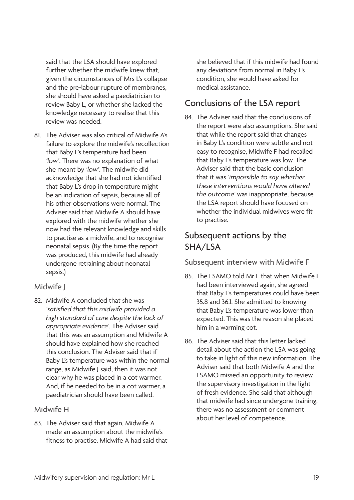said that the LSA should have explored further whether the midwife knew that. given the circumstances of Mrs L's collapse and the pre-labour rupture of membranes, she should have asked a paediatrician to review Baby L, or whether she lacked the knowledge necessary to realise that this review was needed.

81. The Adviser was also critical of Midwife A's failure to explore the midwife's recollection that Baby L's temperature had been *'low'*. There was no explanation of what she meant by *'low'*. The midwife did acknowledge that she had not identified that Baby L's drop in temperature might be an indication of sepsis, because all of his other observations were normal. The Adviser said that Midwife A should have explored with the midwife whether she now had the relevant knowledge and skills to practise as a midwife, and to recognise neonatal sepsis. (By the time the report was produced, this midwife had already undergone retraining about neonatal sepsis.)

#### Midwife J

82. Midwife A concluded that she was *'satisfied that this midwife provided a high standard of care despite the lack of appropriate evidence'*. The Adviser said that this was an assumption and Midwife A should have explained how she reached this conclusion. The Adviser said that if Baby L's temperature was within the normal range, as Midwife J said, then it was not clear why he was placed in a cot warmer. And, if he needed to be in a cot warmer, a paediatrician should have been called.

#### Midwife H

83. The Adviser said that again, Midwife A made an assumption about the midwife's fitness to practise. Midwife A had said that she believed that if this midwife had found any deviations from normal in Baby L's condition, she would have asked for medical assistance.

### Conclusions of the LSA report

84. The Adviser said that the conclusions of the report were also assumptions. She said that while the report said that changes in Baby L's condition were subtle and not easy to recognise, Midwife F had recalled that Baby L's temperature was low. The Adviser said that the basic conclusion that it was *'impossible to say whether these interventions would have altered the outcome'* was inappropriate, because the LSA report should have focused on whether the individual midwives were fit to practise.

## Subsequent actions by the SHA/LSA

#### Subsequent interview with Midwife F

- 85. The LSAMO told Mr L that when Midwife F had been interviewed again, she agreed that Baby L's temperatures could have been 35.8 and 36.1. She admitted to knowing that Baby L's temperature was lower than expected. This was the reason she placed him in a warming cot.
- 86. The Adviser said that this letter lacked detail about the action the LSA was going to take in light of this new information. The Adviser said that both Midwife A and the LSAMO missed an opportunity to review the supervisory investigation in the light of fresh evidence. She said that although that midwife had since undergone training, there was no assessment or comment about her level of competence.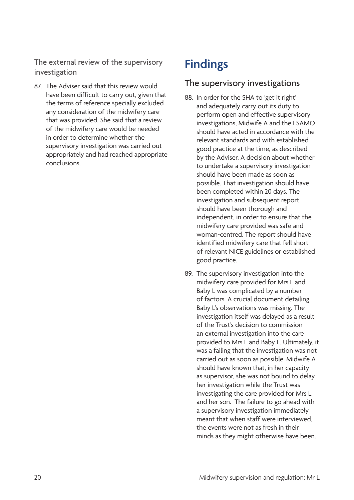<span id="page-23-0"></span>The external review of the supervisory investigation

87. The Adviser said that this review would have been difficult to carry out, given that the terms of reference specially excluded any consideration of the midwifery care that was provided. She said that a review of the midwifery care would be needed in order to determine whether the supervisory investigation was carried out appropriately and had reached appropriate conclusions.

# **Findings**

### The supervisory investigations

- 88. In order for the SHA to 'get it right' and adequately carry out its duty to perform open and effective supervisory investigations, Midwife A and the LSAMO should have acted in accordance with the relevant standards and with established good practice at the time, as described by the Adviser. A decision about whether to undertake a supervisory investigation should have been made as soon as possible. That investigation should have been completed within 20 days. The investigation and subsequent report should have been thorough and independent, in order to ensure that the midwifery care provided was safe and woman-centred. The report should have identified midwifery care that fell short of relevant NICE guidelines or established good practice.
- 89. The supervisory investigation into the midwifery care provided for Mrs L and Baby L was complicated by a number of factors. A crucial document detailing Baby L's observations was missing. The investigation itself was delayed as a result of the Trust's decision to commission an external investigation into the care provided to Mrs L and Baby L. Ultimately, it was a failing that the investigation was not carried out as soon as possible. Midwife A should have known that, in her capacity as supervisor, she was not bound to delay her investigation while the Trust was investigating the care provided for Mrs L and her son. The failure to go ahead with a supervisory investigation immediately meant that when staff were interviewed, the events were not as fresh in their minds as they might otherwise have been.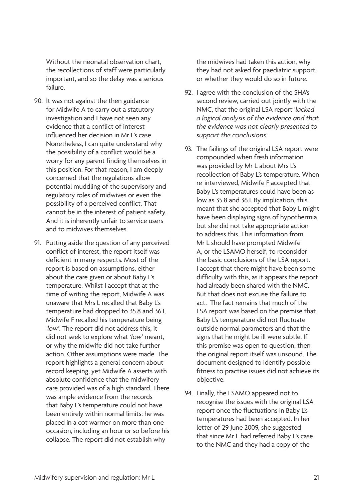Without the neonatal observation chart, the recollections of staff were particularly important, and so the delay was a serious failure.

- 90. It was not against the then guidance for Midwife A to carry out a statutory investigation and I have not seen any evidence that a conflict of interest influenced her decision in Mr L's case. Nonetheless, I can quite understand why the possibility of a conflict would be a worry for any parent finding themselves in this position. For that reason, I am deeply concerned that the regulations allow potential muddling of the supervisory and regulatory roles of midwives or even the possibility of a perceived conflict. That cannot be in the interest of patient safety. And it is inherently unfair to service users and to midwives themselves.
- 91. Putting aside the question of any perceived conflict of interest, the report itself was deficient in many respects. Most of the report is based on assumptions, either about the care given or about Baby L's temperature. Whilst I accept that at the time of writing the report, Midwife A was unaware that Mrs L recalled that Baby L's temperature had dropped to 35.8 and 36.1, Midwife F recalled his temperature being *'low'*. The report did not address this, it did not seek to explore what *'low'* meant, or why the midwife did not take further action. Other assumptions were made. The report highlights a general concern about record keeping, yet Midwife A asserts with absolute confidence that the midwifery care provided was of a high standard. There was ample evidence from the records that Baby L's temperature could not have been entirely within normal limits: he was placed in a cot warmer on more than one occasion, including an hour or so before his collapse. The report did not establish why

the midwives had taken this action, why they had not asked for paediatric support, or whether they would do so in future.

- 92. I agree with the conclusion of the SHA's second review, carried out jointly with the NMC, that the original LSA report '*lacked a logical analysis of the evidence and that the evidence was not clearly presented to support the conclusions'*.
- 93. The failings of the original LSA report were compounded when fresh information was provided by Mr L about Mrs L's recollection of Baby L's temperature. When re-interviewed, Midwife F accepted that Baby L's temperatures could have been as low as 35.8 and 36.1. By implication, this meant that she accepted that Baby L might have been displaying signs of hypothermia but she did not take appropriate action to address this. This information from Mr L should have prompted Midwife A, or the LSAMO herself, to reconsider the basic conclusions of the LSA report. I accept that there might have been some difficulty with this, as it appears the report had already been shared with the NMC. But that does not excuse the failure to act. The fact remains that much of the LSA report was based on the premise that Baby L's temperature did not fluctuate outside normal parameters and that the signs that he might be ill were subtle. If this premise was open to question, then the original report itself was unsound. The document designed to identify possible fitness to practise issues did not achieve its objective.
- 94. Finally, the LSAMO appeared not to recognise the issues with the original LSA report once the fluctuations in Baby L's temperatures had been accepted. In her letter of 29 June 2009, she suggested that since Mr L had referred Baby L's case to the NMC and they had a copy of the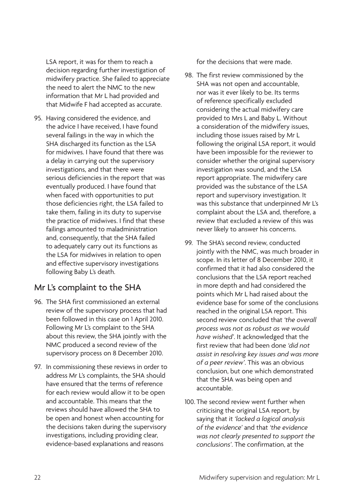LSA report, it was for them to reach a decision regarding further investigation of midwifery practice. She failed to appreciate the need to alert the NMC to the new information that Mr L had provided and that Midwife F had accepted as accurate.

95. Having considered the evidence, and the advice I have received, I have found several failings in the way in which the SHA discharged its function as the LSA for midwives. I have found that there was a delay in carrying out the supervisory investigations, and that there were serious deficiencies in the report that was eventually produced. I have found that when faced with opportunities to put those deficiencies right, the LSA failed to take them, failing in its duty to supervise the practice of midwives. I find that these failings amounted to maladministration and, consequently, that the SHA failed to adequately carry out its functions as the LSA for midwives in relation to open and effective supervisory investigations following Baby L's death.

## Mr L's complaint to the SHA

- 96. The SHA first commissioned an external review of the supervisory process that had been followed in this case on 1 April 2010. Following Mr L's complaint to the SHA about this review, the SHA jointly with the NMC produced a second review of the supervisory process on 8 December 2010.
- 97. In commissioning these reviews in order to address Mr L's complaints, the SHA should have ensured that the terms of reference for each review would allow it to be open and accountable. This means that the reviews should have allowed the SHA to be open and honest when accounting for the decisions taken during the supervisory investigations, including providing clear, evidence-based explanations and reasons

for the decisions that were made.

- 98. The first review commissioned by the SHA was not open and accountable, nor was it ever likely to be. Its terms of reference specifically excluded considering the actual midwifery care provided to Mrs L and Baby L. Without a consideration of the midwifery issues, including those issues raised by Mr L following the original LSA report, it would have been impossible for the reviewer to consider whether the original supervisory investigation was sound, and the LSA report appropriate. The midwifery care provided was the substance of the LSA report and supervisory investigation. It was this substance that underpinned Mr L's complaint about the LSA and, therefore, a review that excluded a review of this was never likely to answer his concerns.
- 99. The SHA's second review, conducted jointly with the NMC, was much broader in scope. In its letter of 8 December 2010, it confirmed that it had also considered the conclusions that the LSA report reached in more depth and had considered the points which Mr L had raised about the evidence base for some of the conclusions reached in the original LSA report. This second review concluded that *'the overall process was not as robust as we would have wished'*. It acknowledged that the first review that had been done *'did not assist in resolving key issues and was more of a peer review'*. This was an obvious conclusion, but one which demonstrated that the SHA was being open and accountable.
- 100. The second review went further when criticising the original LSA report, by saying that it *'lacked a logical analysis of the evidence'* and that *'the evidence was not clearly presented to support the conclusions'*. The confirmation, at the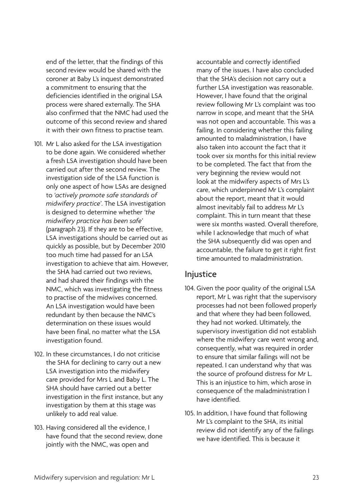end of the letter, that the findings of this second review would be shared with the coroner at Baby L's inquest demonstrated a commitment to ensuring that the deficiencies identified in the original LSA process were shared externally. The SHA also confirmed that the NMC had used the outcome of this second review and shared it with their own fitness to practise team.

- 101. Mr L also asked for the LSA investigation to be done again. We considered whether a fresh LSA investigation should have been carried out after the second review. The investigation side of the LSA function is only one aspect of how LSAs are designed to *'actively promote safe standards of midwifery practice'*. The LSA investigation is designed to determine whether *'the midwifery practice has been safe'* (paragraph 23). If they are to be effective, LSA investigations should be carried out as quickly as possible, but by December 2010 too much time had passed for an LSA investigation to achieve that aim. However, the SHA had carried out two reviews, and had shared their findings with the NMC, which was investigating the fitness to practise of the midwives concerned. An LSA investigation would have been redundant by then because the NMC's determination on these issues would have been final, no matter what the LSA investigation found.
- 102. In these circumstances, I do not criticise the SHA for declining to carry out a new LSA investigation into the midwifery care provided for Mrs L and Baby L. The SHA should have carried out a better investigation in the first instance, but any investigation by them at this stage was unlikely to add real value.
- 103. Having considered all the evidence, I have found that the second review, done jointly with the NMC, was open and

accountable and correctly identified many of the issues. I have also concluded that the SHA's decision not carry out a further LSA investigation was reasonable. However, I have found that the original review following Mr L's complaint was too narrow in scope, and meant that the SHA was not open and accountable. This was a failing. In considering whether this failing amounted to maladministration, I have also taken into account the fact that it took over six months for this initial review to be completed. The fact that from the very beginning the review would not look at the midwifery aspects of Mrs L's care, which underpinned Mr L's complaint about the report, meant that it would almost inevitably fail to address Mr L's complaint. This in turn meant that these were six months wasted. Overall therefore, while I acknowledge that much of what the SHA subsequently did was open and accountable, the failure to get it right first time amounted to maladministration.

### Injustice

- 104. Given the poor quality of the original LSA report, Mr L was right that the supervisory processes had not been followed properly and that where they had been followed, they had not worked. Ultimately, the supervisory investigation did not establish where the midwifery care went wrong and, consequently, what was required in order to ensure that similar failings will not be repeated. I can understand why that was the source of profound distress for Mr L. This is an injustice to him, which arose in consequence of the maladministration I have identified.
- 105. In addition, I have found that following Mr L's complaint to the SHA, its initial review did not identify any of the failings we have identified. This is because it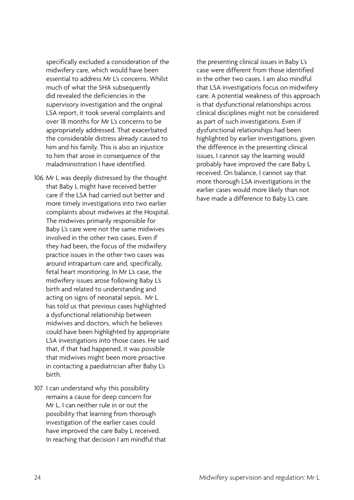specifically excluded a consideration of the midwifery care, which would have been essential to address Mr L's concerns. Whilst much of what the SHA subsequently did revealed the deficiencies in the supervisory investigation and the original LSA report, it took several complaints and over 18 months for Mr L's concerns to be appropriately addressed. That exacerbated the considerable distress already caused to him and his family. This is also an injustice to him that arose in consequence of the maladministration I have identified.

- 106. Mr L was deeply distressed by the thought that Baby L might have received better care if the LSA had carried out better and more timely investigations into two earlier complaints about midwives at the Hospital. The midwives primarily responsible for Baby L's care were not the same midwives involved in the other two cases. Even if they had been, the focus of the midwifery practice issues in the other two cases was around intrapartum care and, specifically, fetal heart monitoring. In Mr L's case, the midwifery issues arose following Baby L's birth and related to understanding and acting on signs of neonatal sepsis. Mr L has told us that previous cases highlighted a dysfunctional relationship between midwives and doctors, which he believes could have been highlighted by appropriate LSA investigations into those cases. He said that, if that had happened, it was possible that midwives might been more proactive in contacting a paediatrician after Baby L's birth.
- 107. I can understand why this possibility remains a cause for deep concern for Mr L. I can neither rule in or out the possibility that learning from thorough investigation of the earlier cases could have improved the care Baby L received. In reaching that decision I am mindful that

the presenting clinical issues in Baby L's case were different from those identified in the other two cases. I am also mindful that LSA investigations focus on midwifery care. A potential weakness of this approach is that dysfunctional relationships across clinical disciplines might not be considered as part of such investigations. Even if dysfunctional relationships had been highlighted by earlier investigations, given the difference in the presenting clinical issues, I cannot say the learning would probably have improved the care Baby L received. On balance, I cannot say that more thorough LSA investigations in the earlier cases would more likely than not have made a difference to Baby L's care.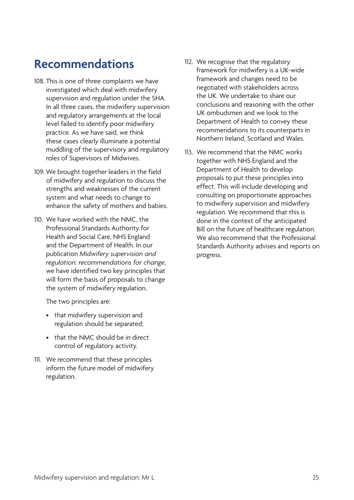# <span id="page-28-0"></span>**Recommendations**

- 108. This is one of three complaints we have investigated which deal with midwifery supervision and regulation under the SHA. In all three cases, the midwifery supervision and regulatory arrangements at the local level failed to identify poor midwifery practice. As we have said, we think these cases clearly illuminate a potential muddling of the supervisory and regulatory roles of Supervisors of Midwives.
- 109. We brought together leaders in the field of midwifery and regulation to discuss the strengths and weaknesses of the current system and what needs to change to enhance the safety of mothers and babies.
- 110. We have worked with the NMC, the Professional Standards Authority for Health and Social Care, NHS England and the Department of Health. In our publication *Midwifery supervision and regulation: recommendations for change*, we have identified two key principles that will form the basis of proposals to change the system of midwifery regulation.

The two principles are:

- that midwifery supervision and regulation should be separated;
- that the NMC should be in direct control of regulatory activity.
- 111. We recommend that these principles inform the future model of midwifery regulation.
- 112. We recognise that the regulatory framework for midwifery is a UK-wide framework and changes need to be negotiated with stakeholders across the UK. We undertake to share our conclusions and reasoning with the other UK ombudsmen and we look to the Department of Health to convey these recommendations to its counterparts in Northern Ireland, Scotland and Wales.
- 113. We recommend that the NMC works together with NHS England and the Department of Health to develop proposals to put these principles into effect. This will include developing and consulting on proportionate approaches to midwifery supervision and midwifery regulation. We recommend that this is done in the context of the anticipated Bill on the future of healthcare regulation. We also recommend that the Professional Standards Authority advises and reports on progress.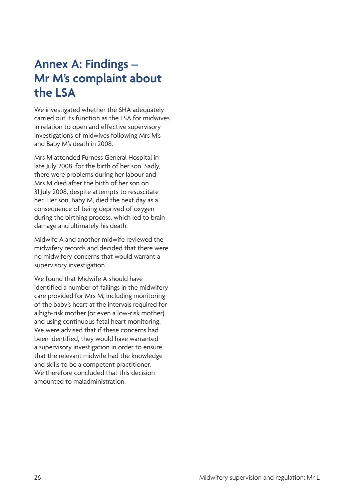## <span id="page-29-0"></span>**Annex A: Findings – Mr M's complaint about the LSA**

We investigated whether the SHA adequately carried out its function as the LSA for midwives in relation to open and effective supervisory investigations of midwives following Mrs M's and Baby M's death in 2008.

Mrs M attended Furness General Hospital in late July 2008, for the birth of her son. Sadly, there were problems during her labour and Mrs M died after the birth of her son on 31 July 2008, despite attempts to resuscitate her. Her son, Baby M, died the next day as a consequence of being deprived of oxygen during the birthing process, which led to brain damage and ultimately his death.

Midwife A and another midwife reviewed the midwifery records and decided that there were no midwifery concerns that would warrant a supervisory investigation.

We found that Midwife A should have identified a number of failings in the midwifery care provided for Mrs M, including monitoring of the baby's heart at the intervals required for a high-risk mother (or even a low-risk mother), and using continuous fetal heart monitoring. We were advised that if these concerns had been identified, they would have warranted a supervisory investigation in order to ensure that the relevant midwife had the knowledge and skills to be a competent practitioner. We therefore concluded that this decision amounted to maladministration.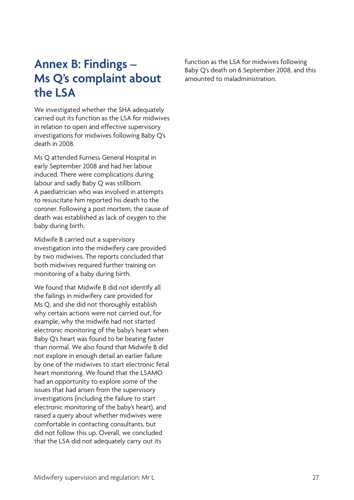## <span id="page-30-0"></span>**Annex B: Findings – Ms Q's complaint about the LSA**

We investigated whether the SHA adequately carried out its function as the LSA for midwives in relation to open and effective supervisory investigations for midwives following Baby Q's death in 2008.

Ms Q attended Furness General Hospital in early September 2008 and had her labour induced. There were complications during labour and sadly Baby Q was stillborn. A paediatrician who was involved in attempts to resuscitate him reported his death to the coroner. Following a post mortem, the cause of death was established as lack of oxygen to the baby during birth.

Midwife B carried out a supervisory investigation into the midwifery care provided by two midwives. The reports concluded that both midwives required further training on monitoring of a baby during birth.

We found that Midwife B did not identify all the failings in midwifery care provided for Ms Q, and she did not thoroughly establish why certain actions were not carried out, for example, why the midwife had not started electronic monitoring of the baby's heart when Baby Q's heart was found to be beating faster than normal. We also found that Midwife B did not explore in enough detail an earlier failure by one of the midwives to start electronic fetal heart monitoring. We found that the LSAMO had an opportunity to explore some of the issues that had arisen from the supervisory investigations (including the failure to start electronic monitoring of the baby's heart), and raised a query about whether midwives were comfortable in contacting consultants, but did not follow this up. Overall, we concluded that the LSA did not adequately carry out its

function as the LSA for midwives following Baby Q's death on 6 September 2008, and this amounted to maladministration.